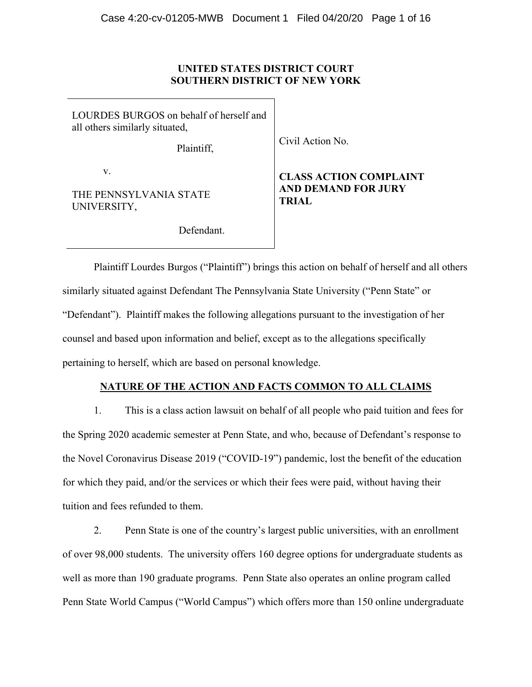### **UNITED STATES DISTRICT COURT SOUTHERN DISTRICT OF NEW YORK**

LOURDES BURGOS on behalf of herself and all others similarly situated,

Plaintiff,

Civil Action No.

v.

THE PENNSYLVANIA STATE UNIVERSITY,

Defendant.

# **CLASS ACTION COMPLAINT AND DEMAND FOR JURY TRIAL**

Plaintiff Lourdes Burgos ("Plaintiff") brings this action on behalf of herself and all others similarly situated against Defendant The Pennsylvania State University ("Penn State" or "Defendant"). Plaintiff makes the following allegations pursuant to the investigation of her counsel and based upon information and belief, except as to the allegations specifically pertaining to herself, which are based on personal knowledge.

# **NATURE OF THE ACTION AND FACTS COMMON TO ALL CLAIMS**

1. This is a class action lawsuit on behalf of all people who paid tuition and fees for the Spring 2020 academic semester at Penn State, and who, because of Defendant's response to the Novel Coronavirus Disease 2019 ("COVID-19") pandemic, lost the benefit of the education for which they paid, and/or the services or which their fees were paid, without having their tuition and fees refunded to them.

2. Penn State is one of the country's largest public universities, with an enrollment of over 98,000 students. The university offers 160 degree options for undergraduate students as well as more than 190 graduate programs. Penn State also operates an online program called Penn State World Campus ("World Campus") which offers more than 150 online undergraduate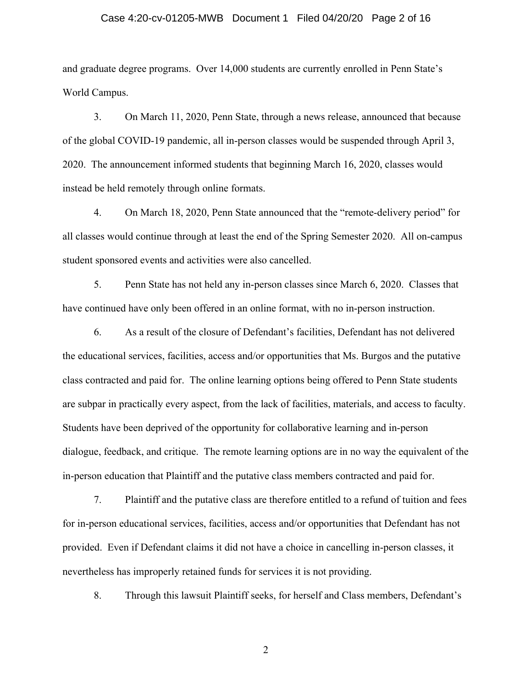#### Case 4:20-cv-01205-MWB Document 1 Filed 04/20/20 Page 2 of 16

and graduate degree programs. Over 14,000 students are currently enrolled in Penn State's World Campus.

3. On March 11, 2020, Penn State, through a news release, announced that because of the global COVID-19 pandemic, all in-person classes would be suspended through April 3, 2020. The announcement informed students that beginning March 16, 2020, classes would instead be held remotely through online formats.

4. On March 18, 2020, Penn State announced that the "remote-delivery period" for all classes would continue through at least the end of the Spring Semester 2020. All on-campus student sponsored events and activities were also cancelled.

5. Penn State has not held any in-person classes since March 6, 2020. Classes that have continued have only been offered in an online format, with no in-person instruction.

6. As a result of the closure of Defendant's facilities, Defendant has not delivered the educational services, facilities, access and/or opportunities that Ms. Burgos and the putative class contracted and paid for. The online learning options being offered to Penn State students are subpar in practically every aspect, from the lack of facilities, materials, and access to faculty. Students have been deprived of the opportunity for collaborative learning and in-person dialogue, feedback, and critique. The remote learning options are in no way the equivalent of the in-person education that Plaintiff and the putative class members contracted and paid for.

7. Plaintiff and the putative class are therefore entitled to a refund of tuition and fees for in-person educational services, facilities, access and/or opportunities that Defendant has not provided. Even if Defendant claims it did not have a choice in cancelling in-person classes, it nevertheless has improperly retained funds for services it is not providing.

8. Through this lawsuit Plaintiff seeks, for herself and Class members, Defendant's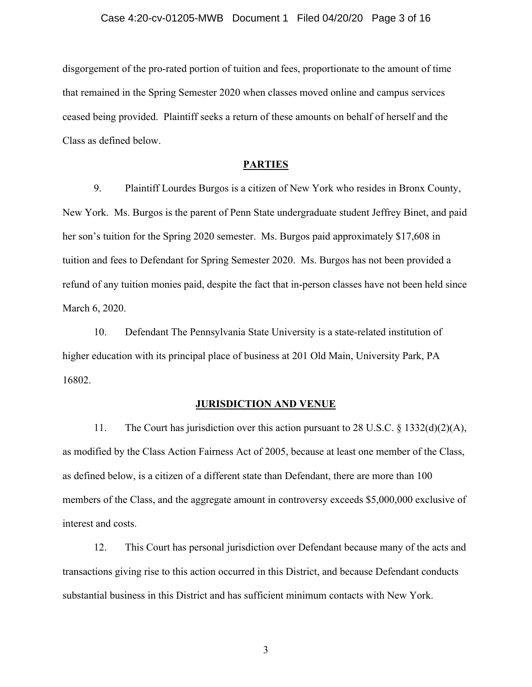disgorgement of the pro-rated portion of tuition and fees, proportionate to the amount of time that remained in the Spring Semester 2020 when classes moved online and campus services ceased being provided. Plaintiff seeks a return of these amounts on behalf of herself and the Class as defined below.

### **PARTIES**

9. Plaintiff Lourdes Burgos is a citizen of New York who resides in Bronx County, New York. Ms. Burgos is the parent of Penn State undergraduate student Jeffrey Binet, and paid her son's tuition for the Spring 2020 semester. Ms. Burgos paid approximately \$17,608 in tuition and fees to Defendant for Spring Semester 2020. Ms. Burgos has not been provided a refund of any tuition monies paid, despite the fact that in-person classes have not been held since March 6, 2020.

10. Defendant The Pennsylvania State University is a state-related institution of higher education with its principal place of business at 201 Old Main, University Park, PA 16802.

#### **JURISDICTION AND VENUE**

11. The Court has jurisdiction over this action pursuant to 28 U.S.C.  $\S$  1332(d)(2)(A), as modified by the Class Action Fairness Act of 2005, because at least one member of the Class, as defined below, is a citizen of a different state than Defendant, there are more than 100 members of the Class, and the aggregate amount in controversy exceeds \$5,000,000 exclusive of interest and costs.

12. This Court has personal jurisdiction over Defendant because many of the acts and transactions giving rise to this action occurred in this District, and because Defendant conducts substantial business in this District and has sufficient minimum contacts with New York.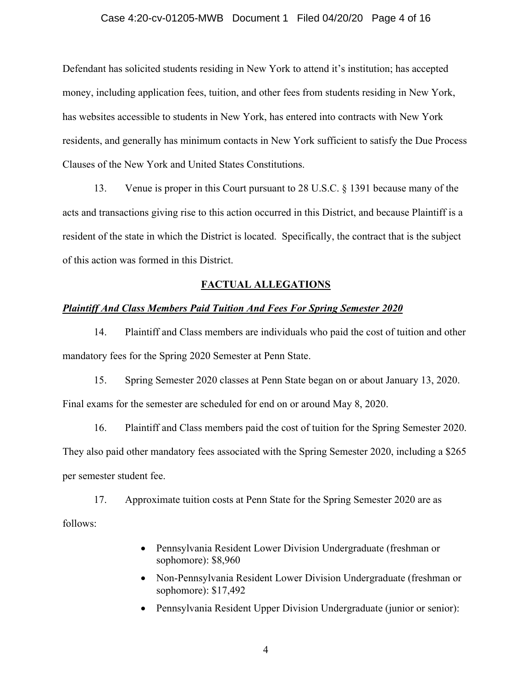#### Case 4:20-cv-01205-MWB Document 1 Filed 04/20/20 Page 4 of 16

Defendant has solicited students residing in New York to attend it's institution; has accepted money, including application fees, tuition, and other fees from students residing in New York, has websites accessible to students in New York, has entered into contracts with New York residents, and generally has minimum contacts in New York sufficient to satisfy the Due Process Clauses of the New York and United States Constitutions.

13. Venue is proper in this Court pursuant to 28 U.S.C. § 1391 because many of the acts and transactions giving rise to this action occurred in this District, and because Plaintiff is a resident of the state in which the District is located. Specifically, the contract that is the subject of this action was formed in this District.

#### **FACTUAL ALLEGATIONS**

#### *Plaintiff And Class Members Paid Tuition And Fees For Spring Semester 2020*

14. Plaintiff and Class members are individuals who paid the cost of tuition and other mandatory fees for the Spring 2020 Semester at Penn State.

15. Spring Semester 2020 classes at Penn State began on or about January 13, 2020. Final exams for the semester are scheduled for end on or around May 8, 2020.

16. Plaintiff and Class members paid the cost of tuition for the Spring Semester 2020. They also paid other mandatory fees associated with the Spring Semester 2020, including a \$265 per semester student fee.

17. Approximate tuition costs at Penn State for the Spring Semester 2020 are as follows:

- Pennsylvania Resident Lower Division Undergraduate (freshman or sophomore): \$8,960
- Non-Pennsylvania Resident Lower Division Undergraduate (freshman or sophomore): \$17,492
- Pennsylvania Resident Upper Division Undergraduate (junior or senior):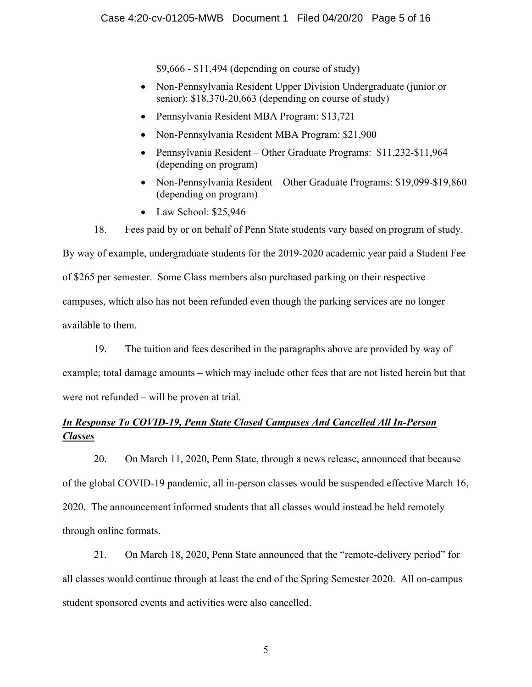\$9,666 - \$11,494 (depending on course of study)

- Non-Pennsylvania Resident Upper Division Undergraduate (junior or senior): \$18,370-20,663 (depending on course of study)
- Pennsylvania Resident MBA Program: \$13,721
- Non-Pennsylvania Resident MBA Program: \$21,900
- Pennsylvania Resident Other Graduate Programs: \$11,232-\$11,964 (depending on program)
- Non-Pennsylvania Resident Other Graduate Programs: \$19,099-\$19,860 (depending on program)
- Law School: \$25,946
- 18. Fees paid by or on behalf of Penn State students vary based on program of study.

By way of example, undergraduate students for the 2019-2020 academic year paid a Student Fee of \$265 per semester. Some Class members also purchased parking on their respective campuses, which also has not been refunded even though the parking services are no longer available to them.

19. The tuition and fees described in the paragraphs above are provided by way of

example; total damage amounts – which may include other fees that are not listed herein but that were not refunded – will be proven at trial.

# *In Response To COVID-19, Penn State Closed Campuses And Cancelled All In-Person Classes*

20. On March 11, 2020, Penn State, through a news release, announced that because of the global COVID-19 pandemic, all in-person classes would be suspended effective March 16, 2020. The announcement informed students that all classes would instead be held remotely through online formats.

21. On March 18, 2020, Penn State announced that the "remote-delivery period" for all classes would continue through at least the end of the Spring Semester 2020. All on-campus student sponsored events and activities were also cancelled.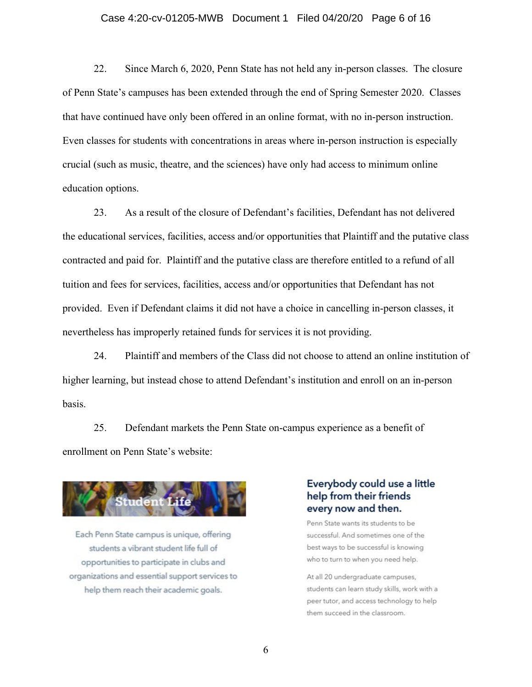#### Case 4:20-cv-01205-MWB Document 1 Filed 04/20/20 Page 6 of 16

22. Since March 6, 2020, Penn State has not held any in-person classes. The closure of Penn State's campuses has been extended through the end of Spring Semester 2020. Classes that have continued have only been offered in an online format, with no in-person instruction. Even classes for students with concentrations in areas where in-person instruction is especially crucial (such as music, theatre, and the sciences) have only had access to minimum online education options.

23. As a result of the closure of Defendant's facilities, Defendant has not delivered the educational services, facilities, access and/or opportunities that Plaintiff and the putative class contracted and paid for. Plaintiff and the putative class are therefore entitled to a refund of all tuition and fees for services, facilities, access and/or opportunities that Defendant has not provided. Even if Defendant claims it did not have a choice in cancelling in-person classes, it nevertheless has improperly retained funds for services it is not providing.

24. Plaintiff and members of the Class did not choose to attend an online institution of higher learning, but instead chose to attend Defendant's institution and enroll on an in-person basis.

25. Defendant markets the Penn State on-campus experience as a benefit of enrollment on Penn State's website:



Each Penn State campus is unique, offering students a vibrant student life full of opportunities to participate in clubs and organizations and essential support services to help them reach their academic goals.

# Everybody could use a little help from their friends every now and then.

Penn State wants its students to be successful. And sometimes one of the best ways to be successful is knowing who to turn to when you need help.

At all 20 undergraduate campuses, students can learn study skills, work with a peer tutor, and access technology to help them succeed in the classroom.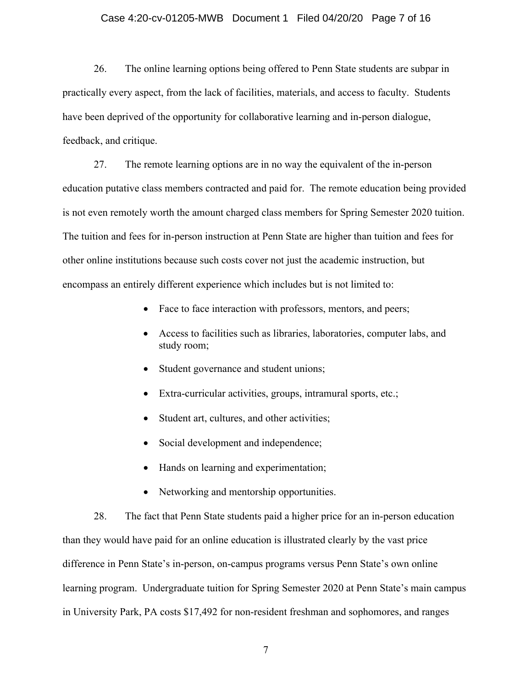#### Case 4:20-cv-01205-MWB Document 1 Filed 04/20/20 Page 7 of 16

26. The online learning options being offered to Penn State students are subpar in practically every aspect, from the lack of facilities, materials, and access to faculty. Students have been deprived of the opportunity for collaborative learning and in-person dialogue, feedback, and critique.

27. The remote learning options are in no way the equivalent of the in-person education putative class members contracted and paid for. The remote education being provided is not even remotely worth the amount charged class members for Spring Semester 2020 tuition. The tuition and fees for in-person instruction at Penn State are higher than tuition and fees for other online institutions because such costs cover not just the academic instruction, but encompass an entirely different experience which includes but is not limited to:

- Face to face interaction with professors, mentors, and peers;
- Access to facilities such as libraries, laboratories, computer labs, and study room;
- Student governance and student unions;
- Extra-curricular activities, groups, intramural sports, etc.;
- Student art, cultures, and other activities;
- Social development and independence;
- Hands on learning and experimentation;
- Networking and mentorship opportunities.

28. The fact that Penn State students paid a higher price for an in-person education than they would have paid for an online education is illustrated clearly by the vast price difference in Penn State's in-person, on-campus programs versus Penn State's own online learning program. Undergraduate tuition for Spring Semester 2020 at Penn State's main campus in University Park, PA costs \$17,492 for non-resident freshman and sophomores, and ranges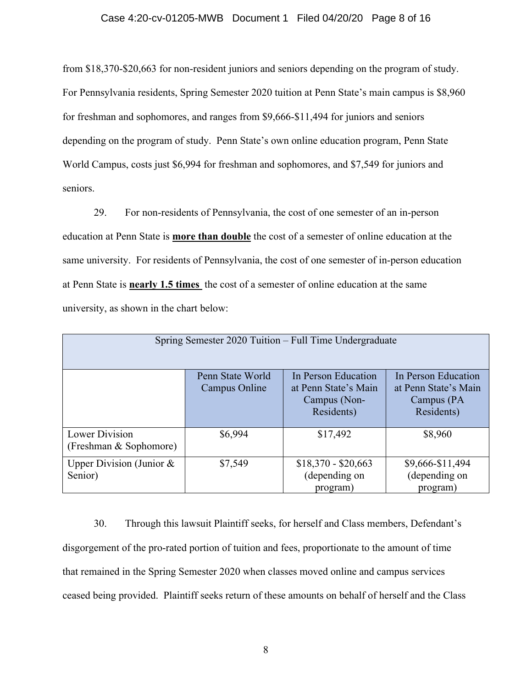#### Case 4:20-cv-01205-MWB Document 1 Filed 04/20/20 Page 8 of 16

from \$18,370-\$20,663 for non-resident juniors and seniors depending on the program of study. For Pennsylvania residents, Spring Semester 2020 tuition at Penn State's main campus is \$8,960 for freshman and sophomores, and ranges from \$9,666-\$11,494 for juniors and seniors depending on the program of study. Penn State's own online education program, Penn State World Campus, costs just \$6,994 for freshman and sophomores, and \$7,549 for juniors and seniors.

29. For non-residents of Pennsylvania, the cost of one semester of an in-person education at Penn State is **more than double** the cost of a semester of online education at the same university. For residents of Pennsylvania, the cost of one semester of in-person education at Penn State is **nearly 1.5 times** the cost of a semester of online education at the same university, as shown in the chart below:

| Spring Semester 2020 Tuition – Full Time Undergraduate |                                   |                                                                           |                                                                         |
|--------------------------------------------------------|-----------------------------------|---------------------------------------------------------------------------|-------------------------------------------------------------------------|
|                                                        | Penn State World<br>Campus Online | In Person Education<br>at Penn State's Main<br>Campus (Non-<br>Residents) | In Person Education<br>at Penn State's Main<br>Campus (PA<br>Residents) |
| Lower Division<br>(Freshman & Sophomore)               | \$6,994                           | \$17,492                                                                  | \$8,960                                                                 |
| Upper Division (Junior &<br>Senior)                    | \$7,549                           | $$18,370 - $20,663$<br>(depending on<br>program)                          | \$9,666-\$11,494<br>(depending on<br>program)                           |

30. Through this lawsuit Plaintiff seeks, for herself and Class members, Defendant's disgorgement of the pro-rated portion of tuition and fees, proportionate to the amount of time that remained in the Spring Semester 2020 when classes moved online and campus services ceased being provided. Plaintiff seeks return of these amounts on behalf of herself and the Class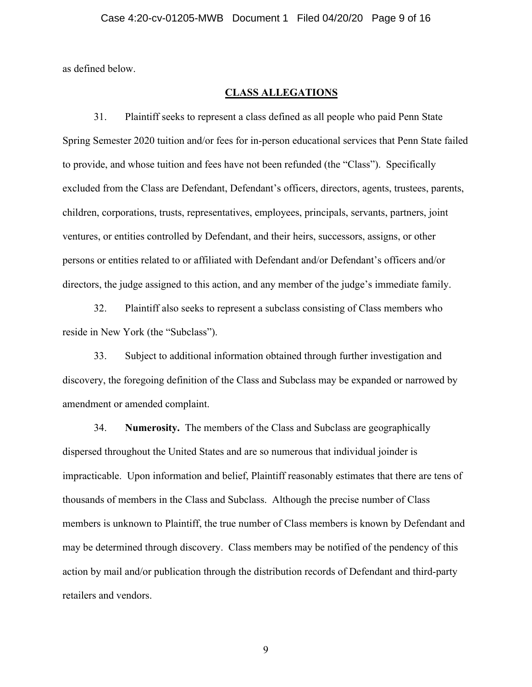as defined below.

### **CLASS ALLEGATIONS**

31. Plaintiff seeks to represent a class defined as all people who paid Penn State Spring Semester 2020 tuition and/or fees for in-person educational services that Penn State failed to provide, and whose tuition and fees have not been refunded (the "Class"). Specifically excluded from the Class are Defendant, Defendant's officers, directors, agents, trustees, parents, children, corporations, trusts, representatives, employees, principals, servants, partners, joint ventures, or entities controlled by Defendant, and their heirs, successors, assigns, or other persons or entities related to or affiliated with Defendant and/or Defendant's officers and/or directors, the judge assigned to this action, and any member of the judge's immediate family.

32. Plaintiff also seeks to represent a subclass consisting of Class members who reside in New York (the "Subclass").

33. Subject to additional information obtained through further investigation and discovery, the foregoing definition of the Class and Subclass may be expanded or narrowed by amendment or amended complaint.

34. **Numerosity.** The members of the Class and Subclass are geographically dispersed throughout the United States and are so numerous that individual joinder is impracticable. Upon information and belief, Plaintiff reasonably estimates that there are tens of thousands of members in the Class and Subclass. Although the precise number of Class members is unknown to Plaintiff, the true number of Class members is known by Defendant and may be determined through discovery. Class members may be notified of the pendency of this action by mail and/or publication through the distribution records of Defendant and third-party retailers and vendors.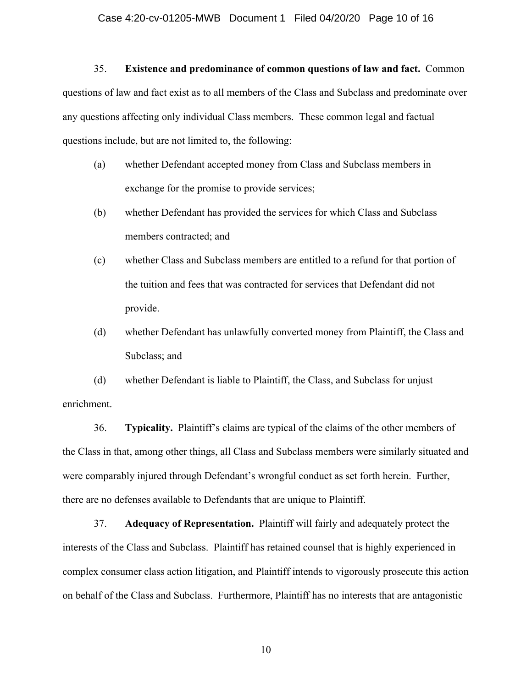### 35. **Existence and predominance of common questions of law and fact.** Common

questions of law and fact exist as to all members of the Class and Subclass and predominate over any questions affecting only individual Class members. These common legal and factual questions include, but are not limited to, the following:

- (a) whether Defendant accepted money from Class and Subclass members in exchange for the promise to provide services;
- (b) whether Defendant has provided the services for which Class and Subclass members contracted; and
- (c) whether Class and Subclass members are entitled to a refund for that portion of the tuition and fees that was contracted for services that Defendant did not provide.
- (d) whether Defendant has unlawfully converted money from Plaintiff, the Class and Subclass; and

(d) whether Defendant is liable to Plaintiff, the Class, and Subclass for unjust enrichment.

36. **Typicality.** Plaintiff's claims are typical of the claims of the other members of the Class in that, among other things, all Class and Subclass members were similarly situated and were comparably injured through Defendant's wrongful conduct as set forth herein. Further, there are no defenses available to Defendants that are unique to Plaintiff.

37. **Adequacy of Representation.** Plaintiff will fairly and adequately protect the interests of the Class and Subclass. Plaintiff has retained counsel that is highly experienced in complex consumer class action litigation, and Plaintiff intends to vigorously prosecute this action on behalf of the Class and Subclass. Furthermore, Plaintiff has no interests that are antagonistic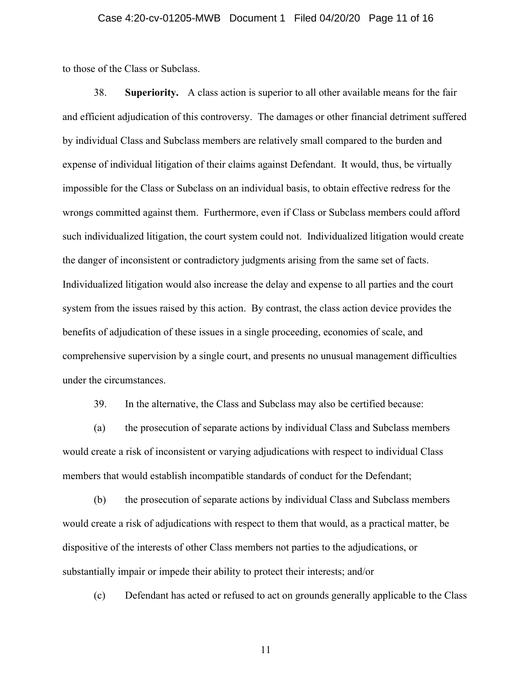#### Case 4:20-cv-01205-MWB Document 1 Filed 04/20/20 Page 11 of 16

to those of the Class or Subclass.

38. **Superiority.** A class action is superior to all other available means for the fair and efficient adjudication of this controversy. The damages or other financial detriment suffered by individual Class and Subclass members are relatively small compared to the burden and expense of individual litigation of their claims against Defendant. It would, thus, be virtually impossible for the Class or Subclass on an individual basis, to obtain effective redress for the wrongs committed against them. Furthermore, even if Class or Subclass members could afford such individualized litigation, the court system could not. Individualized litigation would create the danger of inconsistent or contradictory judgments arising from the same set of facts. Individualized litigation would also increase the delay and expense to all parties and the court system from the issues raised by this action. By contrast, the class action device provides the benefits of adjudication of these issues in a single proceeding, economies of scale, and comprehensive supervision by a single court, and presents no unusual management difficulties under the circumstances.

39. In the alternative, the Class and Subclass may also be certified because:

(a) the prosecution of separate actions by individual Class and Subclass members would create a risk of inconsistent or varying adjudications with respect to individual Class members that would establish incompatible standards of conduct for the Defendant;

(b) the prosecution of separate actions by individual Class and Subclass members would create a risk of adjudications with respect to them that would, as a practical matter, be dispositive of the interests of other Class members not parties to the adjudications, or substantially impair or impede their ability to protect their interests; and/or

(c) Defendant has acted or refused to act on grounds generally applicable to the Class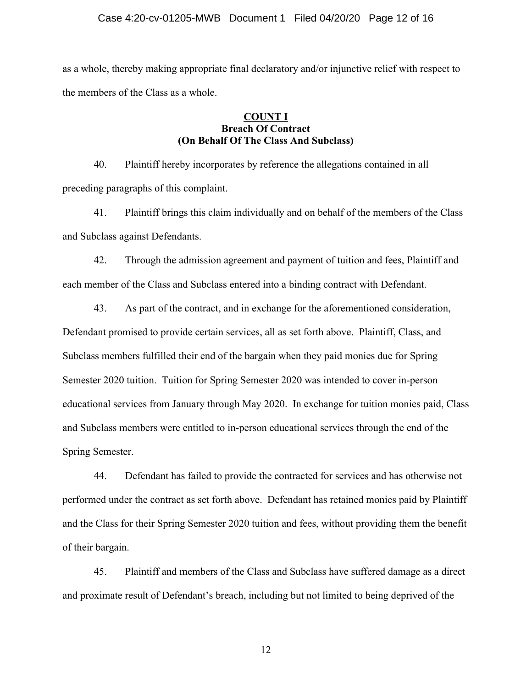#### Case 4:20-cv-01205-MWB Document 1 Filed 04/20/20 Page 12 of 16

as a whole, thereby making appropriate final declaratory and/or injunctive relief with respect to the members of the Class as a whole.

### **COUNT I Breach Of Contract (On Behalf Of The Class And Subclass)**

40. Plaintiff hereby incorporates by reference the allegations contained in all preceding paragraphs of this complaint.

41. Plaintiff brings this claim individually and on behalf of the members of the Class and Subclass against Defendants.

42. Through the admission agreement and payment of tuition and fees, Plaintiff and each member of the Class and Subclass entered into a binding contract with Defendant.

43. As part of the contract, and in exchange for the aforementioned consideration, Defendant promised to provide certain services, all as set forth above. Plaintiff, Class, and Subclass members fulfilled their end of the bargain when they paid monies due for Spring Semester 2020 tuition. Tuition for Spring Semester 2020 was intended to cover in-person educational services from January through May 2020. In exchange for tuition monies paid, Class and Subclass members were entitled to in-person educational services through the end of the Spring Semester.

44. Defendant has failed to provide the contracted for services and has otherwise not performed under the contract as set forth above. Defendant has retained monies paid by Plaintiff and the Class for their Spring Semester 2020 tuition and fees, without providing them the benefit of their bargain.

45. Plaintiff and members of the Class and Subclass have suffered damage as a direct and proximate result of Defendant's breach, including but not limited to being deprived of the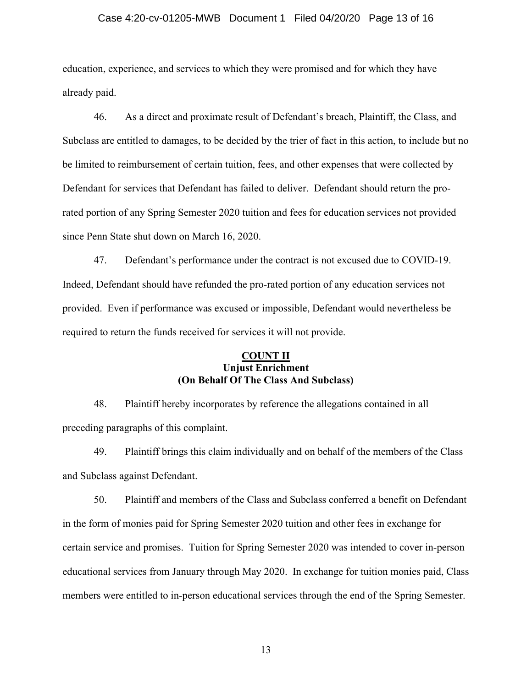#### Case 4:20-cv-01205-MWB Document 1 Filed 04/20/20 Page 13 of 16

education, experience, and services to which they were promised and for which they have already paid.

46. As a direct and proximate result of Defendant's breach, Plaintiff, the Class, and Subclass are entitled to damages, to be decided by the trier of fact in this action, to include but no be limited to reimbursement of certain tuition, fees, and other expenses that were collected by Defendant for services that Defendant has failed to deliver. Defendant should return the prorated portion of any Spring Semester 2020 tuition and fees for education services not provided since Penn State shut down on March 16, 2020.

47. Defendant's performance under the contract is not excused due to COVID-19. Indeed, Defendant should have refunded the pro-rated portion of any education services not provided. Even if performance was excused or impossible, Defendant would nevertheless be required to return the funds received for services it will not provide.

### **COUNT II Unjust Enrichment (On Behalf Of The Class And Subclass)**

48. Plaintiff hereby incorporates by reference the allegations contained in all preceding paragraphs of this complaint.

49. Plaintiff brings this claim individually and on behalf of the members of the Class and Subclass against Defendant.

50. Plaintiff and members of the Class and Subclass conferred a benefit on Defendant in the form of monies paid for Spring Semester 2020 tuition and other fees in exchange for certain service and promises. Tuition for Spring Semester 2020 was intended to cover in-person educational services from January through May 2020. In exchange for tuition monies paid, Class members were entitled to in-person educational services through the end of the Spring Semester.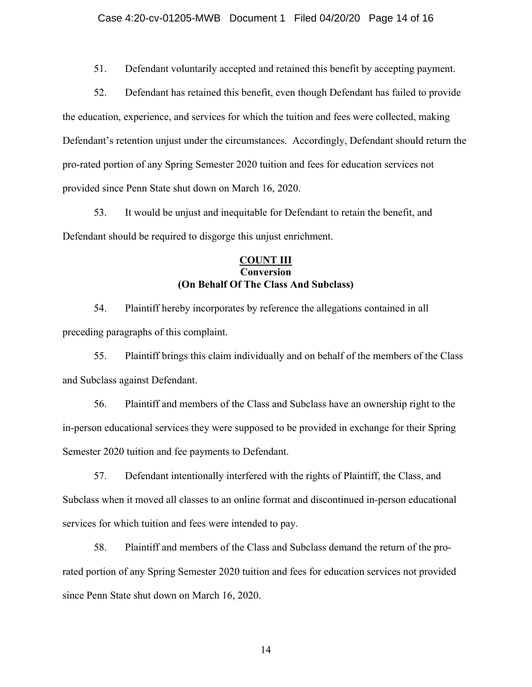51. Defendant voluntarily accepted and retained this benefit by accepting payment.

52. Defendant has retained this benefit, even though Defendant has failed to provide the education, experience, and services for which the tuition and fees were collected, making Defendant's retention unjust under the circumstances. Accordingly, Defendant should return the pro-rated portion of any Spring Semester 2020 tuition and fees for education services not provided since Penn State shut down on March 16, 2020.

53. It would be unjust and inequitable for Defendant to retain the benefit, and Defendant should be required to disgorge this unjust enrichment.

### **COUNT III Conversion (On Behalf Of The Class And Subclass)**

54. Plaintiff hereby incorporates by reference the allegations contained in all preceding paragraphs of this complaint.

55. Plaintiff brings this claim individually and on behalf of the members of the Class and Subclass against Defendant.

56. Plaintiff and members of the Class and Subclass have an ownership right to the in-person educational services they were supposed to be provided in exchange for their Spring Semester 2020 tuition and fee payments to Defendant.

57. Defendant intentionally interfered with the rights of Plaintiff, the Class, and Subclass when it moved all classes to an online format and discontinued in-person educational services for which tuition and fees were intended to pay.

58. Plaintiff and members of the Class and Subclass demand the return of the prorated portion of any Spring Semester 2020 tuition and fees for education services not provided since Penn State shut down on March 16, 2020.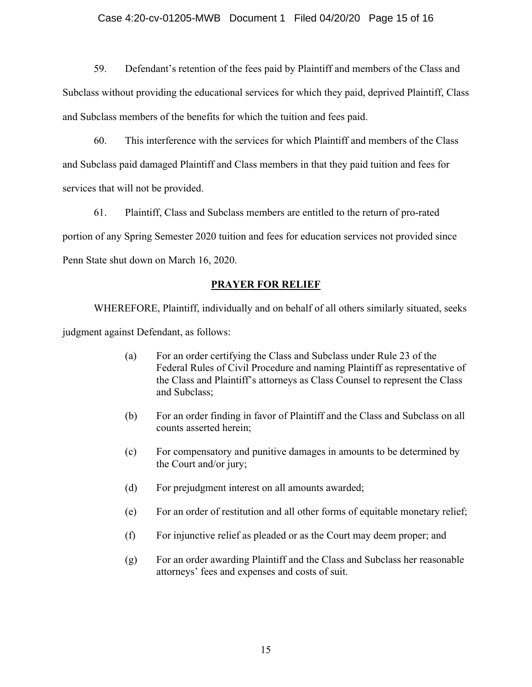### Case 4:20-cv-01205-MWB Document 1 Filed 04/20/20 Page 15 of 16

59. Defendant's retention of the fees paid by Plaintiff and members of the Class and Subclass without providing the educational services for which they paid, deprived Plaintiff, Class and Subclass members of the benefits for which the tuition and fees paid.

60. This interference with the services for which Plaintiff and members of the Class and Subclass paid damaged Plaintiff and Class members in that they paid tuition and fees for services that will not be provided.

61. Plaintiff, Class and Subclass members are entitled to the return of pro-rated portion of any Spring Semester 2020 tuition and fees for education services not provided since Penn State shut down on March 16, 2020.

### **PRAYER FOR RELIEF**

WHEREFORE, Plaintiff, individually and on behalf of all others similarly situated, seeks judgment against Defendant, as follows:

- (a) For an order certifying the Class and Subclass under Rule 23 of the Federal Rules of Civil Procedure and naming Plaintiff as representative of the Class and Plaintiff's attorneys as Class Counsel to represent the Class and Subclass;
- (b) For an order finding in favor of Plaintiff and the Class and Subclass on all counts asserted herein;
- (c) For compensatory and punitive damages in amounts to be determined by the Court and/or jury;
- (d) For prejudgment interest on all amounts awarded;
- (e) For an order of restitution and all other forms of equitable monetary relief;
- (f) For injunctive relief as pleaded or as the Court may deem proper; and
- (g) For an order awarding Plaintiff and the Class and Subclass her reasonable attorneys' fees and expenses and costs of suit.